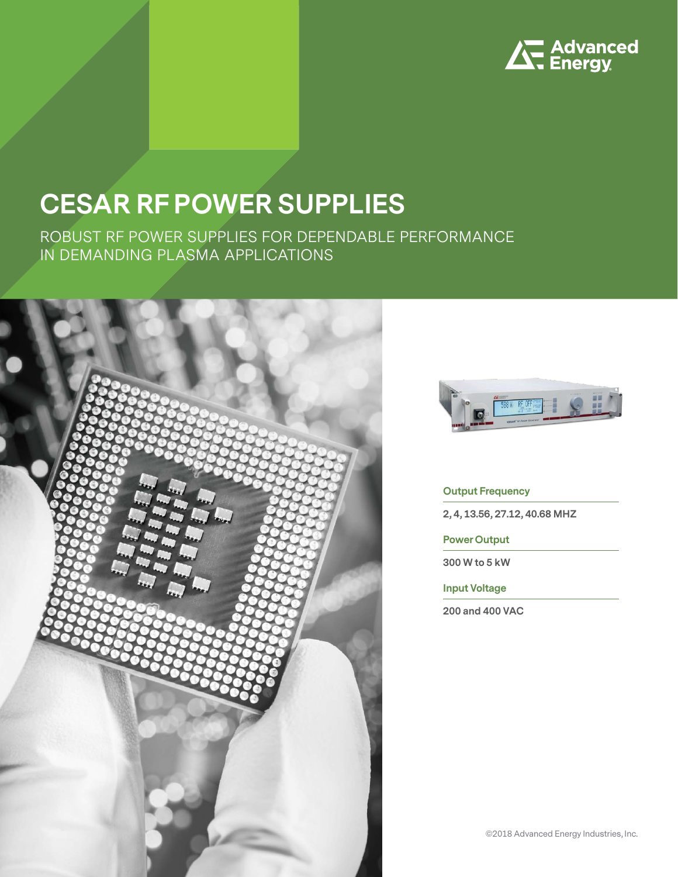

# **CESAR RF POWER SUPPLIES**

ROBUST RF POWER SUPPLIES FOR DEPENDABLE PERFORMANCE IN DEMANDING PLASMA APPLICATIONS





#### **Output Frequency**

**2, 4, 13.56, 27.12, 40.68 MHZ**

**Power Output**

**300 W to 5 kW**

**Input Voltage**

**200 and 400 VAC**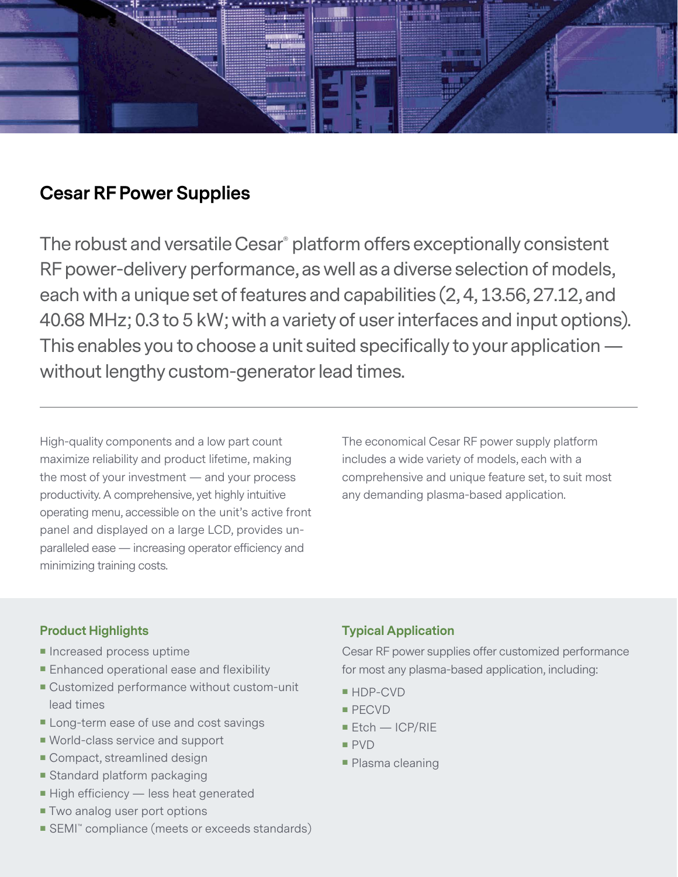

## **Cesar RF Power Supplies**

The robust and versatile Cesar® platform offers exceptionally consistent RF power-delivery performance, as well as a diverse selection of models, each with a unique set of features and capabilities (2, 4, 13.56, 27.12, and 40.68 MHz; 0.3 to 5 kW; with a variety of user interfaces and input options). This enables you to choose a unit suited specifically to your application without lengthy custom-generator lead times.

High-quality components and a low part count maximize reliability and product lifetime, making the most of your investment — and your process productivity. A comprehensive, yet highly intuitive operating menu, accessible on the unit's active front panel and displayed on a large LCD, provides unparalleled ease — increasing operator efficiency and minimizing training costs.

The economical Cesar RF power supply platform includes a wide variety of models, each with a comprehensive and unique feature set, to suit most any demanding plasma-based application.

- **Increased process uptime**
- **Enhanced operational ease and flexibility**
- Customized performance without custom-unit lead times
- **Long-term ease of use and cost savings**
- World-class service and support
- Compact, streamlined design
- **Standard platform packaging**
- High efficiency less heat generated
- **Two analog user port options**
- SEMI™ compliance (meets or exceeds standards)

### **Product Highlights Typical Application**

Cesar RF power supplies offer customized performance for most any plasma-based application, including:

- HDP-CVD
- **PECVD**
- $E$  Etch ICP/RIE
- PVD
- **Plasma cleaning**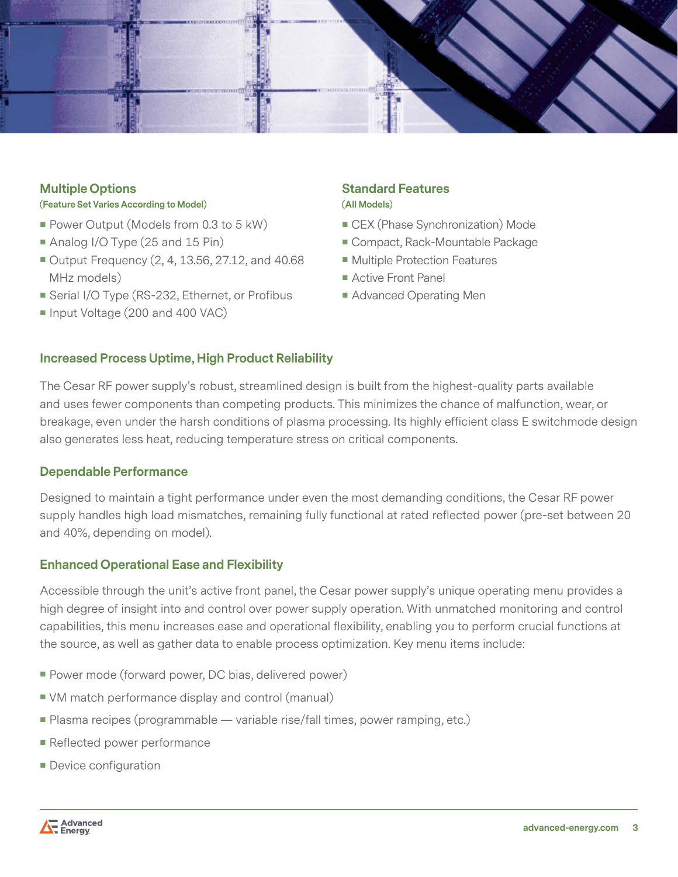

#### **Multiple Options (Feature Set Varies According to Model)**

- Power Output (Models from 0.3 to 5 kW)
- Analog I/O Type (25 and 15 Pin)
- Output Frequency (2, 4, 13.56, 27.12, and 40.68 MHz models)
- Serial I/O Type (RS-232, Ethernet, or Profibus
- Input Voltage (200 and 400 VAC)

### **Standard Features (All Models)**

- CEX (Phase Synchronization) Mode
- Compact, Rack-Mountable Package
- **Multiple Protection Features**
- Active Front Panel
- Advanced Operating Men

#### **Increased Process Uptime, High Product Reliability**

The Cesar RF power supply's robust, streamlined design is built from the highest-quality parts available and uses fewer components than competing products. This minimizes the chance of malfunction, wear, or breakage, even under the harsh conditions of plasma processing. Its highly efficient class E switchmode design also generates less heat, reducing temperature stress on critical components.

#### **Dependable Performance**

Designed to maintain a tight performance under even the most demanding conditions, the Cesar RF power supply handles high load mismatches, remaining fully functional at rated reflected power (pre-set between 20 and 40%, depending on model).

#### **Enhanced Operational Ease and Flexibility**

Accessible through the unit's active front panel, the Cesar power supply's unique operating menu provides a high degree of insight into and control over power supply operation. With unmatched monitoring and control capabilities, this menu increases ease and operational flexibility, enabling you to perform crucial functions at the source, as well as gather data to enable process optimization. Key menu items include:

- **Power mode (forward power, DC bias, delivered power)**
- VM match performance display and control (manual)
- **Plasma recipes (programmable variable rise/fall times, power ramping, etc.)**
- Reflected power performance
- **Device configuration**

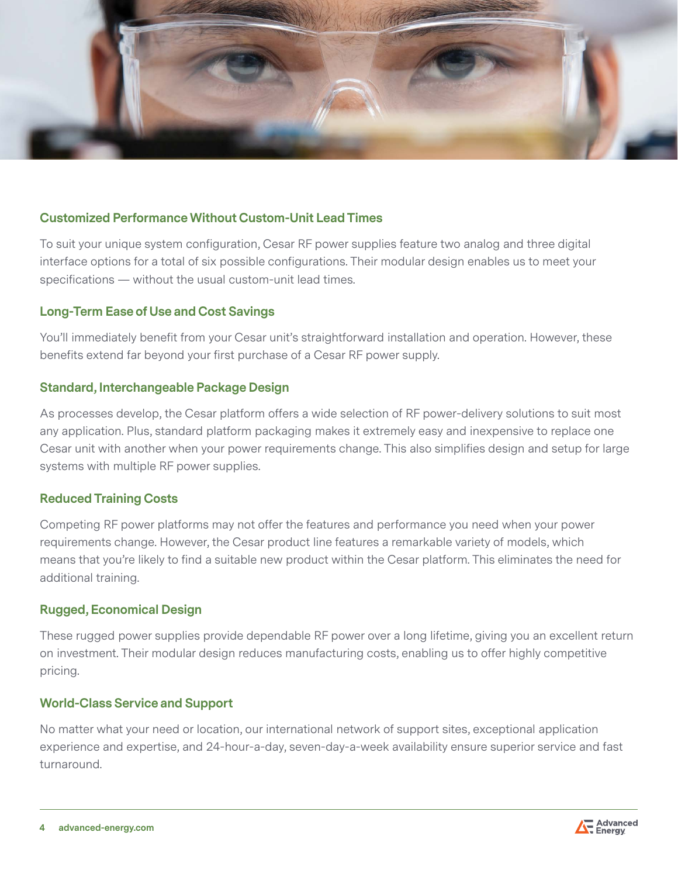

#### **Customized Performance Without Custom-Unit Lead Times**

To suit your unique system configuration, Cesar RF power supplies feature two analog and three digital interface options for a total of six possible configurations. Their modular design enables us to meet your specifications — without the usual custom-unit lead times.

#### **Long-Term Ease of Use and Cost Savings**

You'll immediately benefit from your Cesar unit's straightforward installation and operation. However, these benefits extend far beyond your first purchase of a Cesar RF power supply.

#### **Standard, Interchangeable Package Design**

As processes develop, the Cesar platform offers a wide selection of RF power-delivery solutions to suit most any application. Plus, standard platform packaging makes it extremely easy and inexpensive to replace one Cesar unit with another when your power requirements change. This also simplifies design and setup for large systems with multiple RF power supplies.

#### **Reduced Training Costs**

Competing RF power platforms may not offer the features and performance you need when your power requirements change. However, the Cesar product line features a remarkable variety of models, which means that you're likely to find a suitable new product within the Cesar platform. This eliminates the need for additional training.

#### **Rugged, Economical Design**

These rugged power supplies provide dependable RF power over a long lifetime, giving you an excellent return on investment. Their modular design reduces manufacturing costs, enabling us to offer highly competitive pricing.

#### **World-Class Service and Support**

No matter what your need or location, our international network of support sites, exceptional application experience and expertise, and 24-hour-a-day, seven-day-a-week availability ensure superior service and fast turnaround.

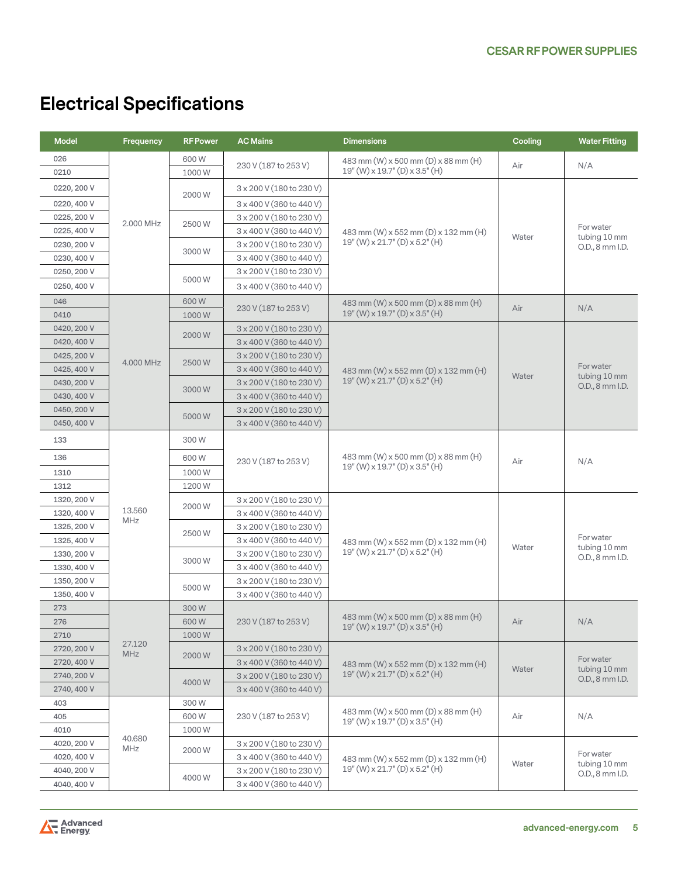# **Electrical Specifications**

| <b>Model</b> | Frequency            | <b>RF Power</b> | <b>AC Mains</b>                 | <b>Dimensions</b>                                                                       | Cooling | <b>Water Fitting</b>                         |
|--------------|----------------------|-----------------|---------------------------------|-----------------------------------------------------------------------------------------|---------|----------------------------------------------|
| 026          | 2.000 MHz            | 600W            | 230 V (187 to 253 V)            | 483 mm (W) x 500 mm (D) x 88 mm (H)                                                     | Air     | N/A                                          |
| 0210         |                      | 1000W           |                                 | $19''$ (W) x $19.7''$ (D) x $3.5''$ (H)                                                 |         |                                              |
| 0220, 200 V  |                      |                 | 3 x 200 V (180 to 230 V)        | 483 mm (W) x 552 mm (D) x 132 mm (H)<br>19" (W) x 21.7" (D) x 5.2" (H)                  | Water   | For water<br>tubing 10 mm<br>O.D., 8 mm I.D. |
| 0220, 400 V  |                      | 2000 W          | 3 x 400 V (360 to 440 V)        |                                                                                         |         |                                              |
| 0225, 200 V  |                      |                 | 3 x 200 V (180 to 230 V)        |                                                                                         |         |                                              |
| 0225, 400 V  |                      | 2500W           | 3 x 400 V (360 to 440 V)        |                                                                                         |         |                                              |
| 0230, 200 V  |                      |                 | 3 x 200 V (180 to 230 V)        |                                                                                         |         |                                              |
| 0230, 400 V  |                      | 3000W           | 3 x 400 V (360 to 440 V)        |                                                                                         |         |                                              |
| 0250, 200 V  |                      | 5000W           | 3 x 200 V (180 to 230 V)        |                                                                                         |         |                                              |
| 0250, 400 V  |                      |                 | 3 x 400 V (360 to 440 V)        |                                                                                         |         |                                              |
| 046          | 4.000 MHz            | 600W<br>1000W   | 230 V (187 to 253 V)            | 483 mm (W) x 500 mm (D) x 88 mm (H)                                                     |         |                                              |
| 0410         |                      |                 |                                 | 19" (W) x 19.7" (D) x 3.5" (H)                                                          | Air     | N/A                                          |
| 0420, 200 V  |                      |                 | 3 x 200 V (180 to 230 V)        | 483 mm (W) x 552 mm (D) x 132 mm (H)<br>19" (W) x 21.7" (D) x 5.2" (H)                  | Water   | For water<br>tubing 10 mm<br>O.D., 8 mm I.D. |
| 0420, 400 V  |                      | 2000W           | 3 x 400 V (360 to 440 V)        |                                                                                         |         |                                              |
| 0425, 200 V  |                      | 2500W           | 3 x 200 V (180 to 230 V)        |                                                                                         |         |                                              |
| 0425, 400 V  |                      |                 | 3 x 400 V (360 to 440 V)        |                                                                                         |         |                                              |
| 0430, 200 V  |                      | 3000W           | $3 \times 200$ V (180 to 230 V) |                                                                                         |         |                                              |
| 0430, 400 V  |                      |                 | 3 x 400 V (360 to 440 V)        |                                                                                         |         |                                              |
| 0450, 200 V  |                      | 5000W           | 3 x 200 V (180 to 230 V)        |                                                                                         |         |                                              |
| 0450, 400 V  |                      |                 | 3 x 400 V (360 to 440 V)        |                                                                                         |         |                                              |
| 133          | 13.560<br>MHz        | 300W            | 230 V (187 to 253 V)            | 483 mm (W) x 500 mm (D) x 88 mm (H)<br>19" (W) x 19.7" (D) x 3.5" (H)                   | Air     | N/A                                          |
| 136          |                      | 600W            |                                 |                                                                                         |         |                                              |
| 1310         |                      | 1000W           |                                 |                                                                                         |         |                                              |
| 1312         |                      | 1200W           |                                 |                                                                                         |         |                                              |
| 1320, 200 V  |                      |                 | 3 x 200 V (180 to 230 V)        | 483 mm (W) x 552 mm (D) x 132 mm (H)<br>19" (W) x 21.7" (D) x 5.2" (H)                  | Water   | For water<br>tubing 10 mm<br>O.D., 8 mm I.D. |
| 1320, 400 V  |                      | 2000W           | 3 x 400 V (360 to 440 V)        |                                                                                         |         |                                              |
| 1325, 200 V  |                      | 2500W           | 3 x 200 V (180 to 230 V)        |                                                                                         |         |                                              |
| 1325, 400 V  |                      |                 | 3 x 400 V (360 to 440 V)        |                                                                                         |         |                                              |
| 1330, 200 V  |                      | 3000W           | 3 x 200 V (180 to 230 V)        |                                                                                         |         |                                              |
| 1330, 400 V  |                      |                 | 3 x 400 V (360 to 440 V)        |                                                                                         |         |                                              |
| 1350, 200 V  |                      | 5000W           | 3 x 200 V (180 to 230 V)        |                                                                                         |         |                                              |
| 1350, 400 V  |                      |                 | 3 x 400 V (360 to 440 V)        |                                                                                         |         |                                              |
| 273          | 27.120<br><b>MHz</b> | 300W            |                                 | 483 mm $(W)$ x 500 mm $(D)$ x 88 mm $(H)$<br>$19''(W) \times 19.7''(D) \times 3.5''(H)$ | Air     | N/A                                          |
| 276          |                      | 600W            | 230 V (187 to 253 V)            |                                                                                         |         |                                              |
| 2710         |                      | 1000W           |                                 |                                                                                         |         |                                              |
| 2720, 200 V  |                      | 2000 W<br>4000W | $3 \times 200$ V (180 to 230 V) | 483 mm (W) x 552 mm (D) x 132 mm (H)<br>19" (W) x 21.7" (D) x 5.2" (H)                  | Water   | For water<br>tubing 10 mm<br>O.D., 8 mm I.D. |
| 2720, 400 V  |                      |                 | 3 x 400 V (360 to 440 V)        |                                                                                         |         |                                              |
| 2740, 200 V  |                      |                 | 3 x 200 V (180 to 230 V)        |                                                                                         |         |                                              |
| 2740, 400 V  |                      |                 | 3 x 400 V (360 to 440 V)        |                                                                                         |         |                                              |
| 403          | 40.680<br>MHz        | 300 W           | 230 V (187 to 253 V)            | 483 mm $(W)$ x 500 mm $(D)$ x 88 mm $(H)$<br>19" (W) x 19.7" (D) x 3.5" (H)             | Air     | N/A                                          |
| 405          |                      | 600W            |                                 |                                                                                         |         |                                              |
| 4010         |                      | 1000W           |                                 | 483 mm (W) x 552 mm (D) x 132 mm (H)<br>19" (W) x 21.7" (D) x 5.2" (H)                  | Water   | For water<br>tubing 10 mm<br>O.D., 8 mm I.D. |
| 4020, 200 V  |                      | 2000W           | 3 x 200 V (180 to 230 V)        |                                                                                         |         |                                              |
| 4020, 400 V  |                      |                 | 3 x 400 V (360 to 440 V)        |                                                                                         |         |                                              |
| 4040, 200 V  |                      | 4000W           | 3 x 200 V (180 to 230 V)        |                                                                                         |         |                                              |
| 4040, 400 V  |                      |                 | 3 x 400 V (360 to 440 V)        |                                                                                         |         |                                              |

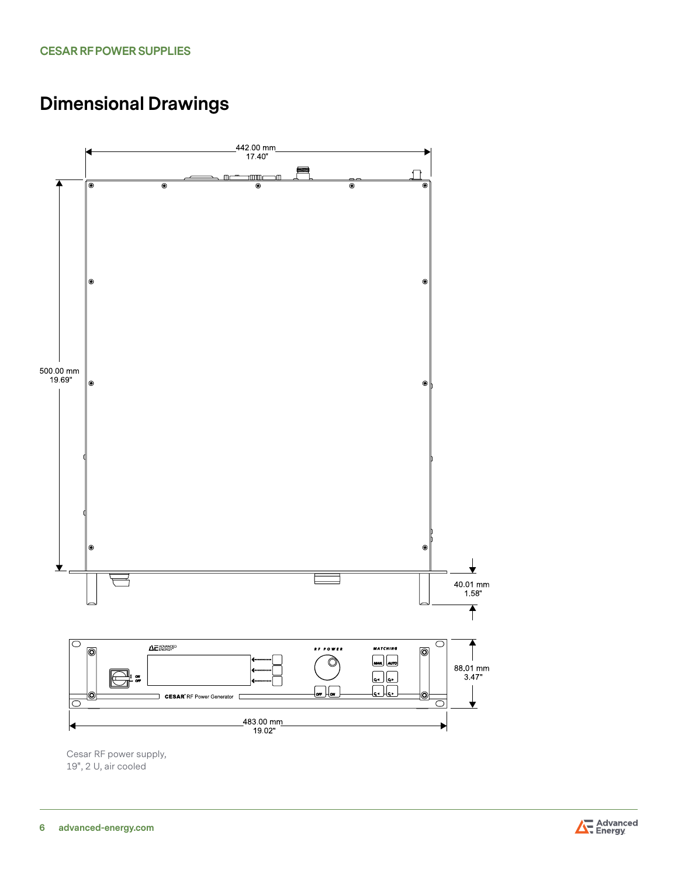# **Dimensional Drawings**



Cesar RF power supply, 19", 2 U, air cooled

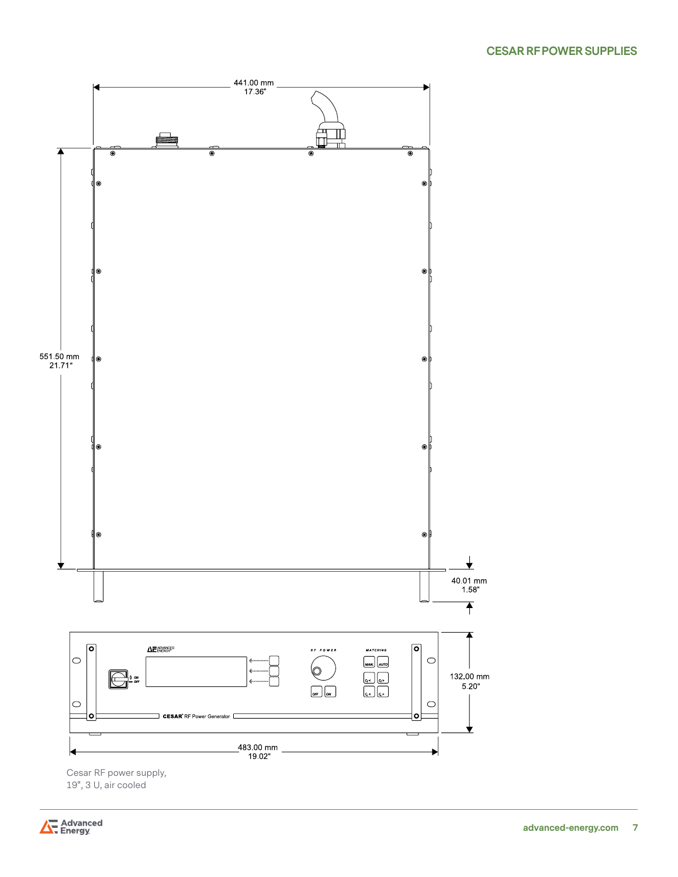

Cesar RF power supply,<br>19", 3 U, air cooled